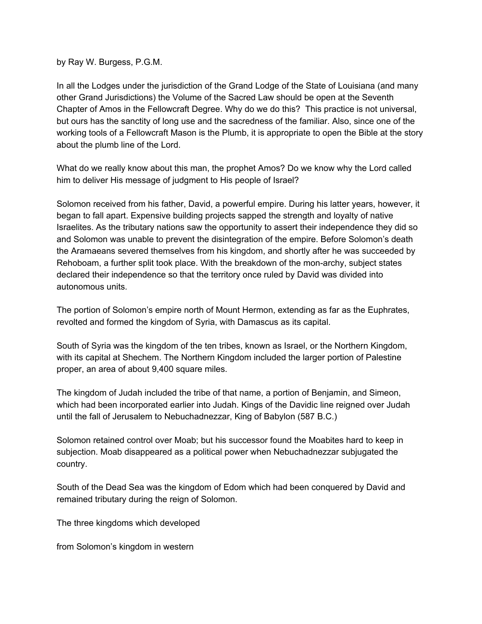by Ray W. Burgess, P.G.M.

In all the Lodges under the jurisdiction of the Grand Lodge of the State of Louisiana (and many other Grand Jurisdictions) the Volume of the Sacred Law should be open at the Seventh Chapter of Amos in the Fellowcraft Degree. Why do we do this? This practice is not universal, but ours has the sanctity of long use and the sacredness of the familiar. Also, since one of the working tools of a Fellowcraft Mason is the Plumb, it is appropriate to open the Bible at the story about the plumb line of the Lord.

What do we really know about this man, the prophet Amos? Do we know why the Lord called him to deliver His message of judgment to His people of Israel?

Solomon received from his father, David, a powerful empire. During his latter years, however, it began to fall apart. Expensive building projects sapped the strength and loyalty of native Israelites. As the tributary nations saw the opportunity to assert their independence they did so and Solomon was unable to prevent the disintegration of the empire. Before Solomon's death the Aramaeans severed themselves from his kingdom, and shortly after he was succeeded by Rehoboam, a further split took place. With the breakdown of the mon-archy, subject states declared their independence so that the territory once ruled by David was divided into autonomous units.

The portion of Solomon's empire north of Mount Hermon, extending as far as the Euphrates, revolted and formed the kingdom of Syria, with Damascus as its capital.

South of Syria was the kingdom of the ten tribes, known as Israel, or the Northern Kingdom, with its capital at Shechem. The Northern Kingdom included the larger portion of Palestine proper, an area of about 9,400 square miles.

The kingdom of Judah included the tribe of that name, a portion of Benjamin, and Simeon, which had been incorporated earlier into Judah. Kings of the Davidic line reigned over Judah until the fall of Jerusalem to Nebuchadnezzar, King of Babylon (587 B.C.)

Solomon retained control over Moab; but his successor found the Moabites hard to keep in subjection. Moab disappeared as a political power when Nebuchadnezzar subjugated the country.

South of the Dead Sea was the kingdom of Edom which had been conquered by David and remained tributary during the reign of Solomon.

The three kingdoms which developed

from Solomon's kingdom in western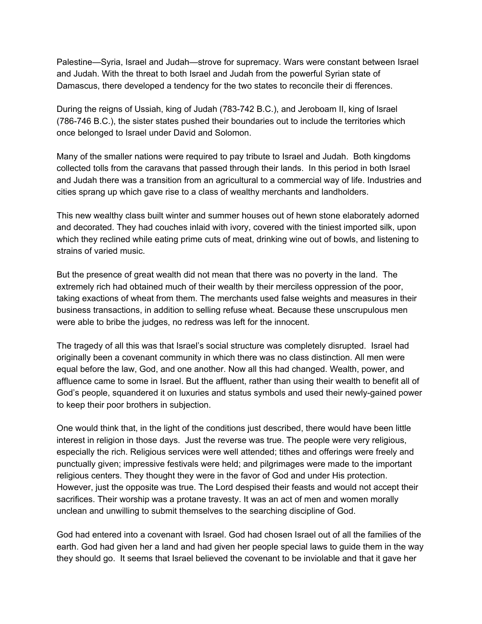Palestine—Syria, Israel and Judah—strove for supremacy. Wars were constant between Israel and Judah. With the threat to both Israel and Judah from the powerful Syrian state of Damascus, there developed a tendency for the two states to reconcile their di fferences.

During the reigns of Ussiah, king of Judah (783-742 B.C.), and Jeroboam II, king of Israel (786-746 B.C.), the sister states pushed their boundaries out to include the territories which once belonged to Israel under David and Solomon.

Many of the smaller nations were required to pay tribute to Israel and Judah. Both kingdoms collected tolls from the caravans that passed through their lands. In this period in both Israel and Judah there was a transition from an agricultural to a commercial way of life. Industries and cities sprang up which gave rise to a class of wealthy merchants and landholders.

This new wealthy class built winter and summer houses out of hewn stone elaborately adorned and decorated. They had couches inlaid with ivory, covered with the tiniest imported silk, upon which they reclined while eating prime cuts of meat, drinking wine out of bowls, and listening to strains of varied music.

But the presence of great wealth did not mean that there was no poverty in the land. The extremely rich had obtained much of their wealth by their merciless oppression of the poor, taking exactions of wheat from them. The merchants used false weights and measures in their business transactions, in addition to selling refuse wheat. Because these unscrupulous men were able to bribe the judges, no redress was left for the innocent.

The tragedy of all this was that Israel's social structure was completely disrupted. Israel had originally been a covenant community in which there was no class distinction. All men were equal before the law, God, and one another. Now all this had changed. Wealth, power, and affluence came to some in Israel. But the affluent, rather than using their wealth to benefit all of God's people, squandered it on luxuries and status symbols and used their newly-gained power to keep their poor brothers in subjection.

One would think that, in the light of the conditions just described, there would have been little interest in religion in those days. Just the reverse was true. The people were very religious, especially the rich. Religious services were well attended; tithes and offerings were freely and punctually given; impressive festivals were held; and pilgrimages were made to the important religious centers. They thought they were in the favor of God and under His protection. However, just the opposite was true. The Lord despised their feasts and would not accept their sacrifices. Their worship was a protane travesty. It was an act of men and women morally unclean and unwilling to submit themselves to the searching discipline of God.

God had entered into a covenant with Israel. God had chosen Israel out of all the families of the earth. God had given her a land and had given her people special laws to guide them in the way they should go. It seems that Israel believed the covenant to be inviolable and that it gave her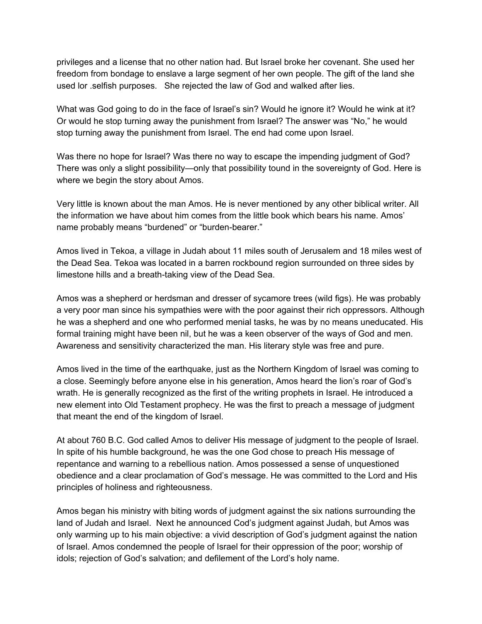privileges and a license that no other nation had. But Israel broke her covenant. She used her freedom from bondage to enslave a large segment of her own people. The gift of the land she used lor .selfish purposes. She rejected the law of God and walked after lies.

What was God going to do in the face of Israel's sin? Would he ignore it? Would he wink at it? Or would he stop turning away the punishment from Israel? The answer was "No," he would stop turning away the punishment from Israel. The end had come upon Israel.

Was there no hope for Israel? Was there no way to escape the impending judgment of God? There was only a slight possibility—only that possibility tound in the sovereignty of God. Here is where we begin the story about Amos.

Very little is known about the man Amos. He is never mentioned by any other biblical writer. All the information we have about him comes from the little book which bears his name. Amos' name probably means "burdened" or "burden-bearer."

Amos lived in Tekoa, a village in Judah about 11 miles south of Jerusalem and 18 miles west of the Dead Sea. Tekoa was located in a barren rockbound region surrounded on three sides by limestone hills and a breath-taking view of the Dead Sea.

Amos was a shepherd or herdsman and dresser of sycamore trees (wild figs). He was probably a very poor man since his sympathies were with the poor against their rich oppressors. Although he was a shepherd and one who performed menial tasks, he was by no means uneducated. His formal training might have been nil, but he was a keen observer of the ways of God and men. Awareness and sensitivity characterized the man. His literary style was free and pure.

Amos lived in the time of the earthquake, just as the Northern Kingdom of Israel was coming to a close. Seemingly before anyone else in his generation, Amos heard the lion's roar of God's wrath. He is generally recognized as the first of the writing prophets in Israel. He introduced a new element into Old Testament prophecy. He was the first to preach a message of judgment that meant the end of the kingdom of Israel.

At about 760 B.C. God called Amos to deliver His message of judgment to the people of Israel. In spite of his humble background, he was the one God chose to preach His message of repentance and warning to a rebellious nation. Amos possessed a sense of unquestioned obedience and a clear proclamation of God's message. He was committed to the Lord and His principles of holiness and righteousness.

Amos began his ministry with biting words of judgment against the six nations surrounding the land of Judah and Israel. Next he announced Cod's judgment against Judah, but Amos was only warming up to his main objective: a vivid description of God's judgment against the nation of Israel. Amos condemned the people of Israel for their oppression of the poor; worship of idols; rejection of God's salvation; and defilement of the Lord's holy name.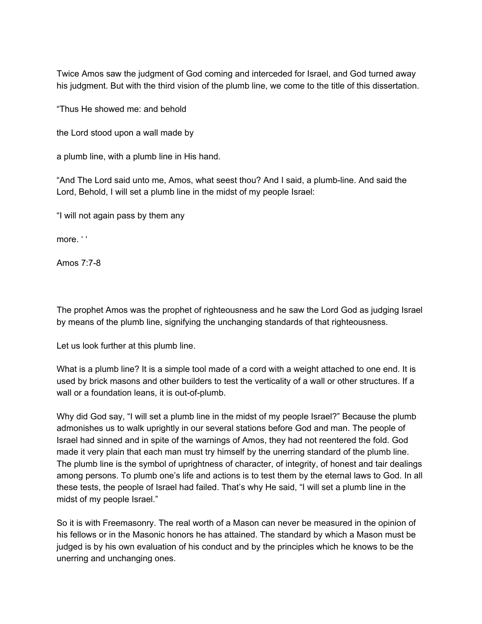Twice Amos saw the judgment of God coming and interceded for Israel, and God turned away his judgment. But with the third vision of the plumb line, we come to the title of this dissertation.

"Thus He showed me: and behold

the Lord stood upon a wall made by

a plumb line, with a plumb line in His hand.

"And The Lord said unto me, Amos, what seest thou? And I said, a plumb-line. And said the Lord, Behold, I will set a plumb line in the midst of my people Israel:

"I will not again pass by them any

more. ' '

Amos 7:7-8

The prophet Amos was the prophet of righteousness and he saw the Lord God as judging Israel by means of the plumb line, signifying the unchanging standards of that righteousness.

Let us look further at this plumb line.

What is a plumb line? It is a simple tool made of a cord with a weight attached to one end. It is used by brick masons and other builders to test the verticality of a wall or other structures. If a wall or a foundation leans, it is out-of-plumb.

Why did God say, "I will set a plumb line in the midst of my people Israel?" Because the plumb admonishes us to walk uprightly in our several stations before God and man. The people of Israel had sinned and in spite of the warnings of Amos, they had not reentered the fold. God made it very plain that each man must try himself by the unerring standard of the plumb line. The plumb line is the symbol of uprightness of character, of integrity, of honest and tair dealings among persons. To plumb one's life and actions is to test them by the eternal laws to God. In all these tests, the people of Israel had failed. That's why He said, "I will set a plumb line in the midst of my people Israel."

So it is with Freemasonry. The real worth of a Mason can never be measured in the opinion of his fellows or in the Masonic honors he has attained. The standard by which a Mason must be judged is by his own evaluation of his conduct and by the principles which he knows to be the unerring and unchanging ones.